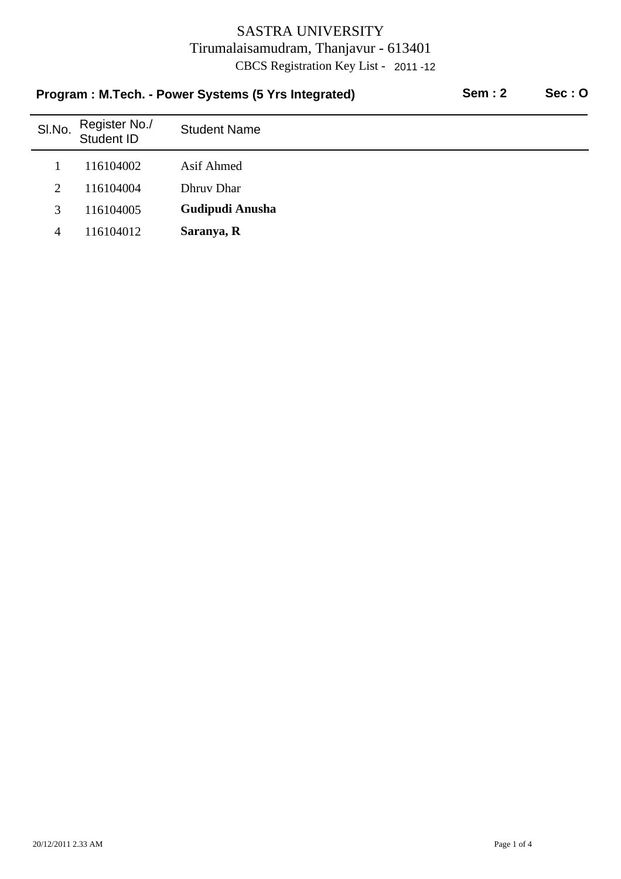| Program: M.Tech. - Power Systems (5 Yrs Integrated) |                             |                     | <b>Sem: 2</b> | Sec:O |
|-----------------------------------------------------|-----------------------------|---------------------|---------------|-------|
| SI.No.                                              | Register No./<br>Student ID | <b>Student Name</b> |               |       |
|                                                     | 116104002                   | Asif Ahmed          |               |       |
| 2                                                   | 116104004                   | Dhruy Dhar          |               |       |
| 3                                                   | 116104005                   | Gudipudi Anusha     |               |       |
| 4                                                   | 116104012                   | Saranya, R          |               |       |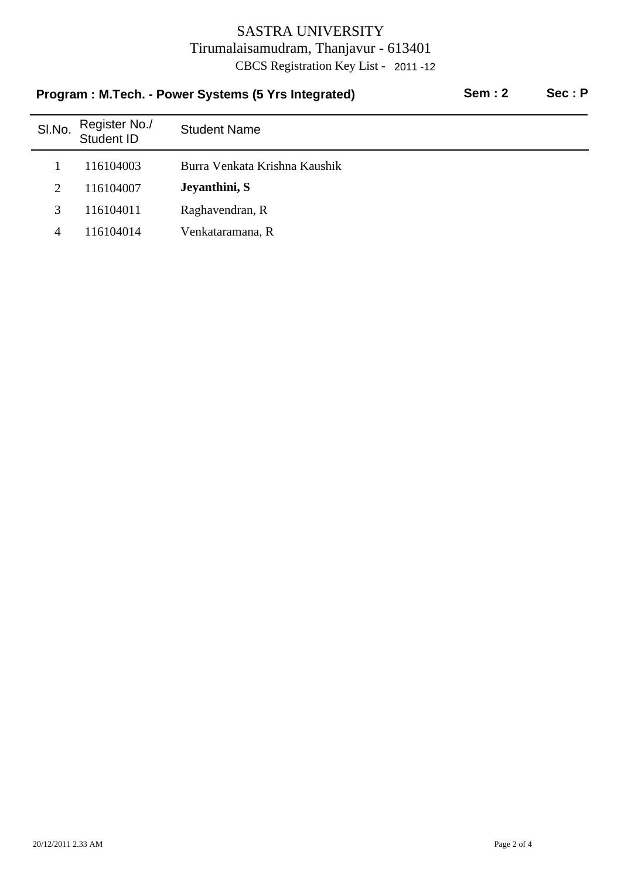| Program: M.Tech. - Power Systems (5 Yrs Integrated) |                             |                               | <b>Sem: 2</b> | Sec: P |
|-----------------------------------------------------|-----------------------------|-------------------------------|---------------|--------|
| SI.No.                                              | Register No./<br>Student ID | <b>Student Name</b>           |               |        |
|                                                     | 116104003                   | Burra Venkata Krishna Kaushik |               |        |
| 2                                                   | 116104007                   | Jeyanthini, S                 |               |        |
| 3                                                   | 116104011                   | Raghavendran, R               |               |        |
| 4                                                   | 116104014                   | Venkataramana, R              |               |        |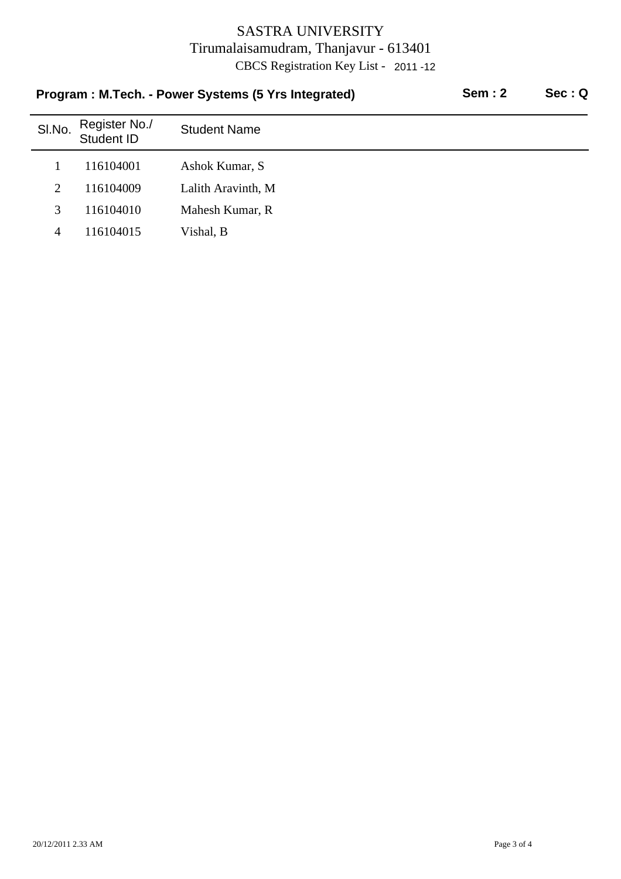| Program: M.Tech. - Power Systems (5 Yrs Integrated) |        |                             | <b>Sem: 2</b>       | Sec:Q |  |
|-----------------------------------------------------|--------|-----------------------------|---------------------|-------|--|
|                                                     | SI.No. | Register No./<br>Student ID | <b>Student Name</b> |       |  |
|                                                     |        | 116104001                   | Ashok Kumar, S      |       |  |
|                                                     | 2      | 116104009                   | Lalith Aravinth, M  |       |  |
|                                                     | 3      | 116104010                   | Mahesh Kumar, R     |       |  |
|                                                     | 4      | 116104015                   | Vishal, B           |       |  |